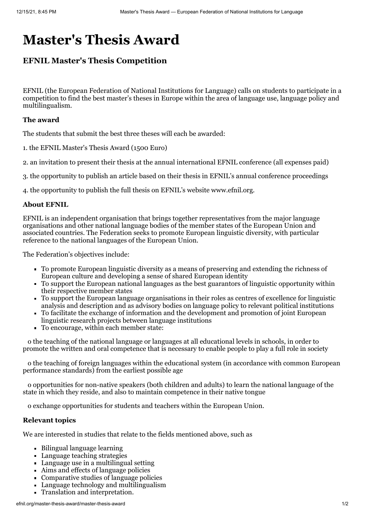# **Master's Thesis Award**

# **EFNIL Master's Thesis Competition**

EFNIL (the European Federation of National Institutions for Language) calls on students to participate in a competition to find the best master's theses in Europe within the area of language use, language policy and multilingualism.

# **The award**

The students that submit the best three theses will each be awarded:

1. the EFNIL Master's Thesis Award (1500 Euro)

2. an invitation to present their thesis at the annual international EFNIL conference (all expenses paid)

3. the opportunity to publish an article based on their thesis in EFNIL's annual conference proceedings

4. the opportunity to publish the full thesis on EFNIL's website www.efnil.org.

# **About EFNIL**

EFNIL is an independent organisation that brings together representatives from the major language organisations and other national language bodies of the member states of the European Union and associated countries. The Federation seeks to promote European linguistic diversity, with particular reference to the national languages of the European Union.

The Federation's objectives include:

- To promote European linguistic diversity as a means of preserving and extending the richness of European culture and developing a sense of shared European identity
- To support the European national languages as the best guarantors of linguistic opportunity within their respective member states
- To support the European language organisations in their roles as centres of excellence for linguistic analysis and description and as advisory bodies on language policy to relevant political institutions
- To facilitate the exchange of information and the development and promotion of joint European linguistic research projects between language institutions
- To encourage, within each member state:

o the teaching of the national language or languages at all educational levels in schools, in order to promote the written and oral competence that is necessary to enable people to play a full role in society

o the teaching of foreign languages within the educational system (in accordance with common European performance standards) from the earliest possible age

o opportunities for non-native speakers (both children and adults) to learn the national language of the state in which they reside, and also to maintain competence in their native tongue

o exchange opportunities for students and teachers within the European Union.

# **Relevant topics**

We are interested in studies that relate to the fields mentioned above, such as

- Bilingual language learning
- Language teaching strategies
- Language use in a multilingual setting
- Aims and effects of language policies
- Comparative studies of language policies
- Language technology and multilingualism
- Translation and interpretation.